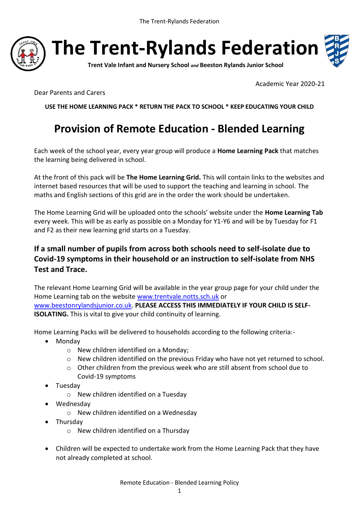

**The Trent-Rylands Federation**



**Trent Vale Infant and Nursery School** *and* **Beeston Rylands Junior School**

Academic Year 2020-21

Dear Parents and Carers

**USE THE HOME LEARNING PACK \* RETURN THE PACK TO SCHOOL \* KEEP EDUCATING YOUR CHILD**

## **Provision of Remote Education - Blended Learning**

Each week of the school year, every year group will produce a **Home Learning Pack** that matches the learning being delivered in school.

At the front of this pack will be **The Home Learning Grid.** This will contain links to the websites and internet based resources that will be used to support the teaching and learning in school. The maths and English sections of this grid are in the order the work should be undertaken.

The Home Learning Grid will be uploaded onto the schools' website under the **Home Learning Tab** every week. This will be as early as possible on a Monday for Y1-Y6 and will be by Tuesday for F1 and F2 as their new learning grid starts on a Tuesday.

## **If a small number of pupils from across both schools need to self-isolate due to Covid-19 symptoms in their household or an instruction to self-isolate from NHS Test and Trace.**

The relevant Home Learning Grid will be available in the year group page for your child under the Home Learning tab on the website [www.trentvale.notts.sch.uk](http://www.trentvale.notts.sch.uk/) or [www.beestonrylandsjunior.co.uk.](http://www.beestonrylandsjunior.co.uk/) **PLEASE ACCESS THIS IMMEDIATELY IF YOUR CHILD IS SELF-ISOLATING.** This is vital to give your child continuity of learning.

Home Learning Packs will be delivered to households according to the following criteria:-

- Mondav
	- o New children identified on a Monday;
	- o New children identified on the previous Friday who have not yet returned to school.
	- $\circ$  Other children from the previous week who are still absent from school due to Covid-19 symptoms
- Tuesday
	- o New children identified on a Tuesday
- Wednesday
	- o New children identified on a Wednesday
- Thursday
	- o New children identified on a Thursday
- Children will be expected to undertake work from the Home Learning Pack that they have not already completed at school.